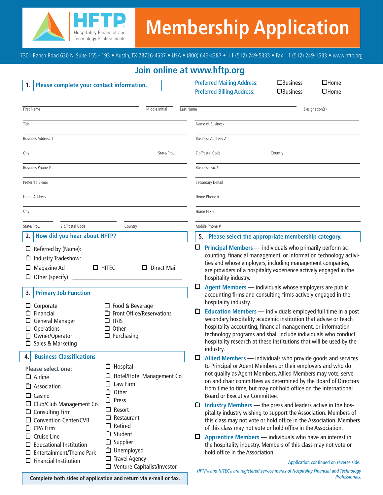

# **Membership Application**

7301 Ranch Road 620 N, Suite 155 - 193 • Austin, TX 78726-4537 • USA • (800) 646-4387 • +1 (512) 249-5333 • Fax +1 (512) 249-1533 • www.hftp.org

## **Join online at www.hftp.org**

| Please complete your contact information.<br>1.                                                                                                                                                                                                                                                                                                                                                                                                                                                                                                                                                                                         | $\Box$ Business<br>$\Box$ Home<br><b>Preferred Mailing Address:</b><br><b>Preferred Billing Address:</b><br>$\Box$ Home<br><b>O</b> Business                                                                                                                                                                                                                                                                                                                                                                                                                                                                                                                                                                                                                                                                                                                           |
|-----------------------------------------------------------------------------------------------------------------------------------------------------------------------------------------------------------------------------------------------------------------------------------------------------------------------------------------------------------------------------------------------------------------------------------------------------------------------------------------------------------------------------------------------------------------------------------------------------------------------------------------|------------------------------------------------------------------------------------------------------------------------------------------------------------------------------------------------------------------------------------------------------------------------------------------------------------------------------------------------------------------------------------------------------------------------------------------------------------------------------------------------------------------------------------------------------------------------------------------------------------------------------------------------------------------------------------------------------------------------------------------------------------------------------------------------------------------------------------------------------------------------|
| Middle Initial<br>First Name<br>Last Name                                                                                                                                                                                                                                                                                                                                                                                                                                                                                                                                                                                               | Designation(s)                                                                                                                                                                                                                                                                                                                                                                                                                                                                                                                                                                                                                                                                                                                                                                                                                                                         |
| Title                                                                                                                                                                                                                                                                                                                                                                                                                                                                                                                                                                                                                                   | Name of Business                                                                                                                                                                                                                                                                                                                                                                                                                                                                                                                                                                                                                                                                                                                                                                                                                                                       |
| <b>Business Address 1</b>                                                                                                                                                                                                                                                                                                                                                                                                                                                                                                                                                                                                               | <b>Business Address 2</b>                                                                                                                                                                                                                                                                                                                                                                                                                                                                                                                                                                                                                                                                                                                                                                                                                                              |
| State/Prov.<br>City                                                                                                                                                                                                                                                                                                                                                                                                                                                                                                                                                                                                                     | Zip/Postal Code<br>Country                                                                                                                                                                                                                                                                                                                                                                                                                                                                                                                                                                                                                                                                                                                                                                                                                                             |
| Business Phone #                                                                                                                                                                                                                                                                                                                                                                                                                                                                                                                                                                                                                        | Business Fax #                                                                                                                                                                                                                                                                                                                                                                                                                                                                                                                                                                                                                                                                                                                                                                                                                                                         |
| Preferred E-mail                                                                                                                                                                                                                                                                                                                                                                                                                                                                                                                                                                                                                        | Secondary E-mail                                                                                                                                                                                                                                                                                                                                                                                                                                                                                                                                                                                                                                                                                                                                                                                                                                                       |
| Home Address                                                                                                                                                                                                                                                                                                                                                                                                                                                                                                                                                                                                                            | Home Phone #                                                                                                                                                                                                                                                                                                                                                                                                                                                                                                                                                                                                                                                                                                                                                                                                                                                           |
| City                                                                                                                                                                                                                                                                                                                                                                                                                                                                                                                                                                                                                                    | Home Fax #                                                                                                                                                                                                                                                                                                                                                                                                                                                                                                                                                                                                                                                                                                                                                                                                                                                             |
| State/Prov.<br>Zip/Postal Code<br>Country                                                                                                                                                                                                                                                                                                                                                                                                                                                                                                                                                                                               | Mobile Phone #                                                                                                                                                                                                                                                                                                                                                                                                                                                                                                                                                                                                                                                                                                                                                                                                                                                         |
| How did you hear about HFTP?<br>2.                                                                                                                                                                                                                                                                                                                                                                                                                                                                                                                                                                                                      | 5.<br>Please select the appropriate membership category.                                                                                                                                                                                                                                                                                                                                                                                                                                                                                                                                                                                                                                                                                                                                                                                                               |
| $\Box$ Referred by (Name):<br>Industry Tradeshow:<br>Magazine Ad<br>$\square$ HITEC<br>$\Box$ Direct Mail<br>$\Box$ Other (specify): $\Box$<br><b>Primary Job Function</b><br>3.<br>$\Box$ Food & Beverage<br>Corporate<br>⊔<br>$\Box$ Front Office/Reservations<br>Financial<br>□<br>$\Box$ IT/IS<br>General Manager<br>⊔<br>$\Box$ Other<br>Operations<br>□<br>Owner/Operator<br>$\Box$ Purchasing<br>□ Sales & Marketing                                                                                                                                                                                                             | ο<br><b>Principal Members - individuals who primarily perform ac-</b><br>counting, financial management, or information technology activi-<br>ties and whose employers, including management companies,<br>are providers of a hospitality experience actively engaged in the<br>hospitality industry.<br>p<br>Agent Members - individuals whose employers are public<br>accounting firms and consulting firms actively engaged in the<br>hospitality industry.<br><b>Education Members</b> - individuals employed full time in a post<br>□<br>secondary hospitality academic institution that advise or teach<br>hospitality accounting, financial management, or information<br>technology programs and shall include individuals who conduct<br>hospitality research at these institutions that will be used by the<br>industry.                                     |
| <b>Business Classifications</b><br>4.<br>$\Box$ Hospital<br><b>Please select one:</b><br>$\Box$ Hotel/Hotel Management Co.<br>$\Box$ Airline<br>Law Firm<br>ப<br>$\Box$ Association<br>Other<br>$\Box$<br>$\Box$ Casino<br>$\Box$ Press<br>□ Club/Club Management Co.<br>$\Box$ Resort<br>$\Box$ Consulting Firm<br>$\Box$ Restaurant<br>□ Convention Center/CVB<br>□ Retired<br>$\Box$ CPA Firm<br>$\Box$ Student<br>$\Box$ Cruise Line<br>$\Box$ Supplier<br><b>Educational Institution</b><br>ப<br>□ Unemployed<br>Entertainment/Theme Park<br>$\Box$ Travel Agency<br><b>Financial Institution</b><br>□ Venture Capitalist/Investor | ₽<br>Allied Members - individuals who provide goods and services<br>to Principal or Agent Members or their employers and who do<br>not qualify as Agent Members. Allied Members may vote, serve<br>on and chair committees as determined by the Board of Directors<br>from time to time, but may not hold office on the International<br>Board or Executive Committee.<br>Industry Members - the press and leaders active in the hos-<br>□<br>pitality industry wishing to support the Association. Members of<br>this class may not vote or hold office in the Association. Members<br>of this class may not vote or hold office in the Association.<br>Apprentice Members - individuals who have an interest in<br>◡<br>the hospitality industry. Members of this class may not vote or<br>hold office in the Association.<br>Application continued on reverse side. |
| Complete both sides of application and return via e-mail or fax.                                                                                                                                                                                                                                                                                                                                                                                                                                                                                                                                                                        | HFTP <sub>®</sub> and HITEC <sub>®</sub> are registered service marks of Hospitality Financial and Technology<br>Professionals.                                                                                                                                                                                                                                                                                                                                                                                                                                                                                                                                                                                                                                                                                                                                        |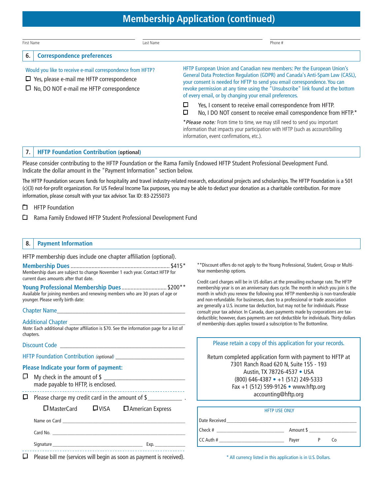## **Membership Application (continued)**

| First Name                                                                                                                                                        |                                                | Last Name                                                                                                                                                                                                                                                                                                                                                                                                                                         |   | Phone #                                                                                                                                                                                                |
|-------------------------------------------------------------------------------------------------------------------------------------------------------------------|------------------------------------------------|---------------------------------------------------------------------------------------------------------------------------------------------------------------------------------------------------------------------------------------------------------------------------------------------------------------------------------------------------------------------------------------------------------------------------------------------------|---|--------------------------------------------------------------------------------------------------------------------------------------------------------------------------------------------------------|
| 6.                                                                                                                                                                | <b>Correspondence preferences</b>              |                                                                                                                                                                                                                                                                                                                                                                                                                                                   |   |                                                                                                                                                                                                        |
| Would you like to receive e-mail correspondence from HFTP?<br>$\Box$ Yes, please e-mail me HFTP correspondence<br>$\Box$ No, DO NOT e-mail me HFTP correspondence |                                                | HFTP European Union and Canadian new members: Per the European Union's<br>General Data Protection Regulation (GDPR) and Canada's Anti-Spam Law (CASL),<br>your consent is needed for HFTP to send you email correspondence. You can<br>revoke permission at any time using the "Unsubscribe" link found at the bottom<br>of every email, or by changing your email preferences.<br>↳<br>Yes, I consent to receive email correspondence from HFTP. |   |                                                                                                                                                                                                        |
|                                                                                                                                                                   |                                                |                                                                                                                                                                                                                                                                                                                                                                                                                                                   | ο | No, I DO NOT consent to receive email correspondence from HFTP.*                                                                                                                                       |
|                                                                                                                                                                   |                                                |                                                                                                                                                                                                                                                                                                                                                                                                                                                   |   | *Please note: From time to time, we may still need to send you important<br>information that impacts your participation with HFTP (such as account/billing<br>information, event confirmations, etc.). |
| 7.                                                                                                                                                                | <b>HFTP Foundation Contribution (optional)</b> |                                                                                                                                                                                                                                                                                                                                                                                                                                                   |   |                                                                                                                                                                                                        |

Please consider contributing to the HFTP Foundation or the Rama Family Endowed HFTP Student Professional Development Fund. Indicate the dollar amount in the "Payment Information" section below.

The HFTP Foundation secures funds for hospitality and travel industry-related research, educational projects and scholarships. The HFTP Foundation is a 501 (c)(3) not-for-profit organization. For US Federal Income Tax purposes, you may be able to deduct your donation as a charitable contribution. For more information, please consult with your tax advisor. Tax ID: 83-2255073

- ❑ HFTP Foundation
- ❑ Rama Family Endowed HFTP Student Professional Development Fund

#### **8. Payment Information**

HFTP membership dues include one chapter affiliation (optional).

**Membership Dues** .................................................................. \$415\* Membership dues are subject to change November 1 each year. Contact HFTP for current dues amounts after that date.

**Young Professional Membership Dues** .............................. \$200\*\* Available for joining members and renewing members who are 30 years of age or younger. Please verify birth date:

#### Chapter Name\_\_\_\_\_\_\_\_\_\_\_\_\_\_\_\_\_\_\_\_\_\_\_\_\_\_\_\_\_\_\_\_\_\_\_\_\_\_\_\_\_

Additional Chapter \_\_\_\_\_\_\_\_\_\_\_\_\_\_\_\_\_\_\_\_\_\_\_\_\_\_\_\_\_\_\_\_\_\_\_\_\_

Note: Each additional chapter affiliation is \$70. See the information page for a list of chapters.

| Please Indicate your form of payment:<br>made payable to HFTP, is enclosed.                                                      |  |                                                                                                                                                                                                                               |  |  |  |  |  |  |
|----------------------------------------------------------------------------------------------------------------------------------|--|-------------------------------------------------------------------------------------------------------------------------------------------------------------------------------------------------------------------------------|--|--|--|--|--|--|
| $\Box$ Please charge my credit card in the amount of \$_______________.<br>$\Box$ MasterCard $\Box$ VISA $\Box$ American Express |  |                                                                                                                                                                                                                               |  |  |  |  |  |  |
|                                                                                                                                  |  | Name on Card and the contract of the contract of the contract of the contract of the contract of the contract of the contract of the contract of the contract of the contract of the contract of the contract of the contract |  |  |  |  |  |  |
|                                                                                                                                  |  |                                                                                                                                                                                                                               |  |  |  |  |  |  |
|                                                                                                                                  |  |                                                                                                                                                                                                                               |  |  |  |  |  |  |

 $\Box$  Please bill me (services will begin as soon as payment is received).

\*\*Discount offers do not apply to the Young Professional, Student, Group or Multi-Year membership options.

Credit card charges will be in US dollars at the prevailing exchange rate. The HFTP membership year is on an anniversary dues cycle. The month in which you join is the month in which you renew the following year. HFTP membership is non-transferable and non-refundable. For businesses, dues to a professional or trade association are generally a U.S. income tax deduction, but may not be for individuals. Please consult your tax advisor. In Canada, dues payments made by corporations are taxdeductible; however, dues payments are not deductible for individuals. Thirty dollars of membership dues applies toward a subscription to The Bottomline.

|               | Please retain a copy of this application for your records.                                                                                                                                                                                |
|---------------|-------------------------------------------------------------------------------------------------------------------------------------------------------------------------------------------------------------------------------------------|
|               | Return completed application form with payment to HFTP at<br>7301 Ranch Road 620 N, Suite 155 - 193<br>Austin, TX 78726-4537 • USA<br>$(800)$ 646-4387 • +1 (512) 249-5333<br>Fax +1 (512) 599-9126 • www.hftp.org<br>accounting@hftp.org |
|               | <b>HFTP USE ONLY</b>                                                                                                                                                                                                                      |
| Date Received |                                                                                                                                                                                                                                           |
|               |                                                                                                                                                                                                                                           |
| Check #       | Amount \$                                                                                                                                                                                                                                 |

CC Auth # \_\_\_\_\_\_\_\_\_\_\_\_\_\_\_\_\_\_\_\_\_\_\_\_\_\_ Payer P Co

\* All currency listed in this application is in U.S. Dollars.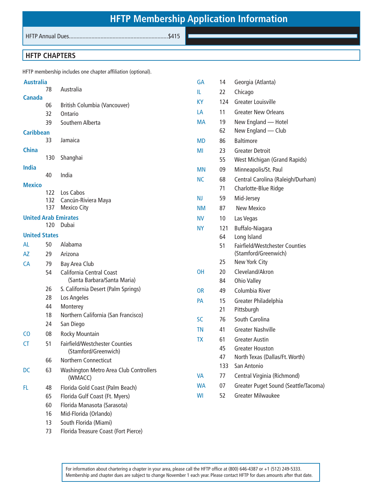HFTP Annual Dues..................................................................\$415

## **HFTP CHAPTERS**

HFTP membership includes one chapter affiliation (optional).

73 Florida Treasure Coast (Fort Pierce)

| <b>Australia</b>     |            |                                        | <b>GA</b> | 14  | Georgia (Atlanta)                     |
|----------------------|------------|----------------------------------------|-----------|-----|---------------------------------------|
|                      | 78         | Australia                              | IL.       | 22  | Chicago                               |
| <b>Canada</b>        | 06         | British Columbia (Vancouver)           | <b>KY</b> | 124 | <b>Greater Louisville</b>             |
|                      | 32         | Ontario                                | LA        | 11  | <b>Greater New Orleans</b>            |
|                      | 39         | Southern Alberta                       | <b>MA</b> | 19  | New England - Hotel                   |
| <b>Caribbean</b>     |            |                                        |           | 62  | New England - Club                    |
|                      | 33         | Jamaica                                | <b>MD</b> | 86  | <b>Baltimore</b>                      |
| <b>China</b>         |            |                                        | MI        | 23  | <b>Greater Detroit</b>                |
|                      | 130        | Shanghai                               |           | 55  | West Michigan (Grand Rapids)          |
| India                |            |                                        | <b>MN</b> | 09  | Minneapolis/St. Paul                  |
|                      | 40         | India                                  | <b>NC</b> | 68  | Central Carolina (Raleigh/Durham)     |
| <b>Mexico</b>        |            |                                        |           | 71  | Charlotte-Blue Ridge                  |
|                      | 122<br>132 | Los Cabos<br>Cancún-Riviera Maya       | <b>NJ</b> | 59  | Mid-Jersey                            |
|                      | 137        | <b>Mexico City</b>                     | <b>NM</b> | 87  | <b>New Mexico</b>                     |
|                      |            | <b>United Arab Emirates</b>            | <b>NV</b> | 10  | Las Vegas                             |
|                      | 120        | Dubai                                  | <b>NY</b> | 121 | Buffalo-Niagara                       |
| <b>United States</b> |            |                                        |           | 64  | Long Island                           |
| AL                   | 50         | Alabama                                |           | 51  | <b>Fairfield/Westchester Counties</b> |
| AZ                   | 29         | Arizona                                |           |     | (Stamford/Greenwich)                  |
| CA                   | 79         | <b>Bay Area Club</b>                   |           | 25  | New York City                         |
|                      | 54         | <b>California Central Coast</b>        | OH        | 20  | Cleveland/Akron                       |
|                      |            | (Santa Barbara/Santa Maria)            |           | 84  | Ohio Valley                           |
|                      | 26<br>28   | S. California Desert (Palm Springs)    | <b>OR</b> | 49  | Columbia River                        |
|                      | 44         | Los Angeles<br>Monterey                | PA        | 15  | Greater Philadelphia                  |
|                      | 18         | Northern California (San Francisco)    |           | 21  | Pittsburgh                            |
|                      | 24         | San Diego                              | <b>SC</b> | 76  | South Carolina                        |
| CO                   | 08         | Rocky Mountain                         | <b>TN</b> | 41  | <b>Greater Nashville</b>              |
| CT                   | 51         | <b>Fairfield/Westchester Counties</b>  | <b>TX</b> | 61  | <b>Greater Austin</b>                 |
|                      |            | (Stamford/Greenwich)                   |           | 45  | <b>Greater Houston</b>                |
|                      | 66         | Northern Connecticut                   |           | 47  | North Texas (Dallas/Ft. Worth)        |
| DC                   | 63         | Washington Metro Area Club Controllers |           | 133 | San Antonio                           |
|                      |            | (WMACC)                                | <b>VA</b> | 77  | Central Virginia (Richmond)           |
| FL                   | 48         | Florida Gold Coast (Palm Beach)        | <b>WA</b> | 07  | Greater Puget Sound (Seattle/Tacoma)  |
|                      | 65         | Florida Gulf Coast (Ft. Myers)         | WI        | 52  | <b>Greater Milwaukee</b>              |
|                      | 60         | Florida Manasota (Sarasota)            |           |     |                                       |
|                      | 16         | Mid-Florida (Orlando)                  |           |     |                                       |
|                      | 13         | South Florida (Miami)                  |           |     |                                       |

For information about chartering a chapter in your area, please call the HFTP office at (800) 646-4387 or +1 (512) 249-5333. Membership and chapter dues are subject to change November 1 each year. Please contact HFTP for dues amounts after that date.